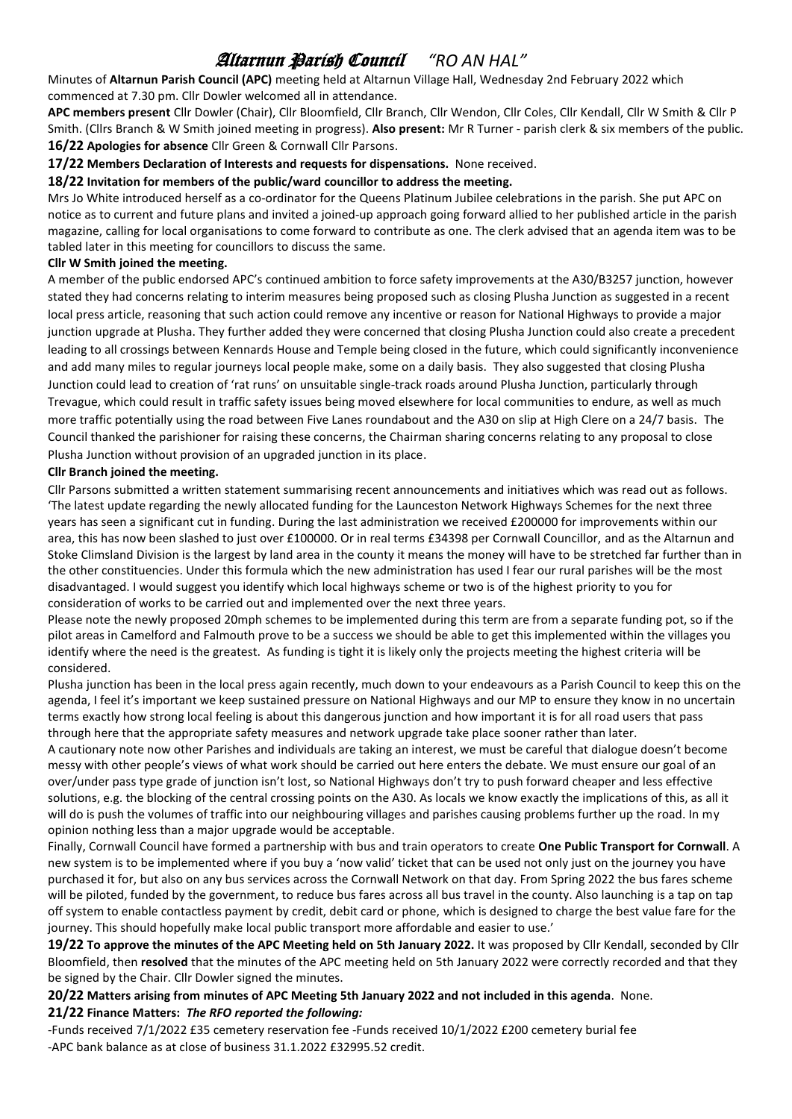# Altarnun Parish Council *"RO AN HAL"*

Minutes of **Altarnun Parish Council (APC)** meeting held at Altarnun Village Hall, Wednesday 2nd February 2022 which commenced at 7.30 pm. Cllr Dowler welcomed all in attendance.

**APC members present** Cllr Dowler (Chair), Cllr Bloomfield, Cllr Branch, Cllr Wendon, Cllr Coles, Cllr Kendall, Cllr W Smith & Cllr P Smith. (Cllrs Branch & W Smith joined meeting in progress). **Also present:** Mr R Turner - parish clerk & six members of the public. **16/22 Apologies for absence** Cllr Green & Cornwall Cllr Parsons.

**17/22 Members Declaration of Interests and requests for dispensations.** None received.

#### **18/22 Invitation for members of the public/ward councillor to address the meeting.**

Mrs Jo White introduced herself as a co-ordinator for the Queens Platinum Jubilee celebrations in the parish. She put APC on notice as to current and future plans and invited a joined-up approach going forward allied to her published article in the parish magazine, calling for local organisations to come forward to contribute as one. The clerk advised that an agenda item was to be tabled later in this meeting for councillors to discuss the same.

#### **Cllr W Smith joined the meeting.**

A member of the public endorsed APC's continued ambition to force safety improvements at the A30/B3257 junction, however stated they had concerns relating to interim measures being proposed such as closing Plusha Junction as suggested in a recent local press article, reasoning that such action could remove any incentive or reason for National Highways to provide a major junction upgrade at Plusha. They further added they were concerned that closing Plusha Junction could also create a precedent leading to all crossings between Kennards House and Temple being closed in the future, which could significantly inconvenience and add many miles to regular journeys local people make, some on a daily basis. They also suggested that closing Plusha Junction could lead to creation of 'rat runs' on unsuitable single-track roads around Plusha Junction, particularly through Trevague, which could result in traffic safety issues being moved elsewhere for local communities to endure, as well as much more traffic potentially using the road between Five Lanes roundabout and the A30 on slip at High Clere on a 24/7 basis. The Council thanked the parishioner for raising these concerns, the Chairman sharing concerns relating to any proposal to close Plusha Junction without provision of an upgraded junction in its place.

# **Cllr Branch joined the meeting.**

Cllr Parsons submitted a written statement summarising recent announcements and initiatives which was read out as follows. 'The latest update regarding the newly allocated funding for the Launceston Network Highways Schemes for the next three years has seen a significant cut in funding. During the last administration we received £200000 for improvements within our area, this has now been slashed to just over £100000. Or in real terms £34398 per Cornwall Councillor, and as the Altarnun and Stoke Climsland Division is the largest by land area in the county it means the money will have to be stretched far further than in the other constituencies. Under this formula which the new administration has used I fear our rural parishes will be the most disadvantaged. I would suggest you identify which local highways scheme or two is of the highest priority to you for consideration of works to be carried out and implemented over the next three years.

Please note the newly proposed 20mph schemes to be implemented during this term are from a separate funding pot, so if the pilot areas in Camelford and Falmouth prove to be a success we should be able to get this implemented within the villages you identify where the need is the greatest. As funding is tight it is likely only the projects meeting the highest criteria will be considered.

Plusha junction has been in the local press again recently, much down to your endeavours as a Parish Council to keep this on the agenda, I feel it's important we keep sustained pressure on National Highways and our MP to ensure they know in no uncertain terms exactly how strong local feeling is about this dangerous junction and how important it is for all road users that pass through here that the appropriate safety measures and network upgrade take place sooner rather than later.

A cautionary note now other Parishes and individuals are taking an interest, we must be careful that dialogue doesn't become messy with other people's views of what work should be carried out here enters the debate. We must ensure our goal of an over/under pass type grade of junction isn't lost, so National Highways don't try to push forward cheaper and less effective solutions, e.g. the blocking of the central crossing points on the A30. As locals we know exactly the implications of this, as all it will do is push the volumes of traffic into our neighbouring villages and parishes causing problems further up the road. In my opinion nothing less than a major upgrade would be acceptable.

Finally, Cornwall Council have formed a partnership with bus and train operators to create **One Public Transport for Cornwall**. A new system is to be implemented where if you buy a 'now valid' ticket that can be used not only just on the journey you have purchased it for, but also on any bus services across the Cornwall Network on that day. From Spring 2022 the bus fares scheme will be piloted, funded by the government, to reduce bus fares across all bus travel in the county. Also launching is a tap on tap off system to enable contactless payment by credit, debit card or phone, which is designed to charge the best value fare for the journey. This should hopefully make local public transport more affordable and easier to use.'

**19/22 To approve the minutes of the APC Meeting held on 5th January 2022.** It was proposed by Cllr Kendall, seconded by Cllr Bloomfield, then **resolved** that the minutes of the APC meeting held on 5th January 2022 were correctly recorded and that they be signed by the Chair. Cllr Dowler signed the minutes.

# **20/22 Matters arising from minutes of APC Meeting 5th January 2022 and not included in this agenda**. None.

# **21/22 Finance Matters:** *The RFO reported the following:*

-Funds received 7/1/2022 £35 cemetery reservation fee -Funds received 10/1/2022 £200 cemetery burial fee -APC bank balance as at close of business 31.1.2022 £32995.52 credit.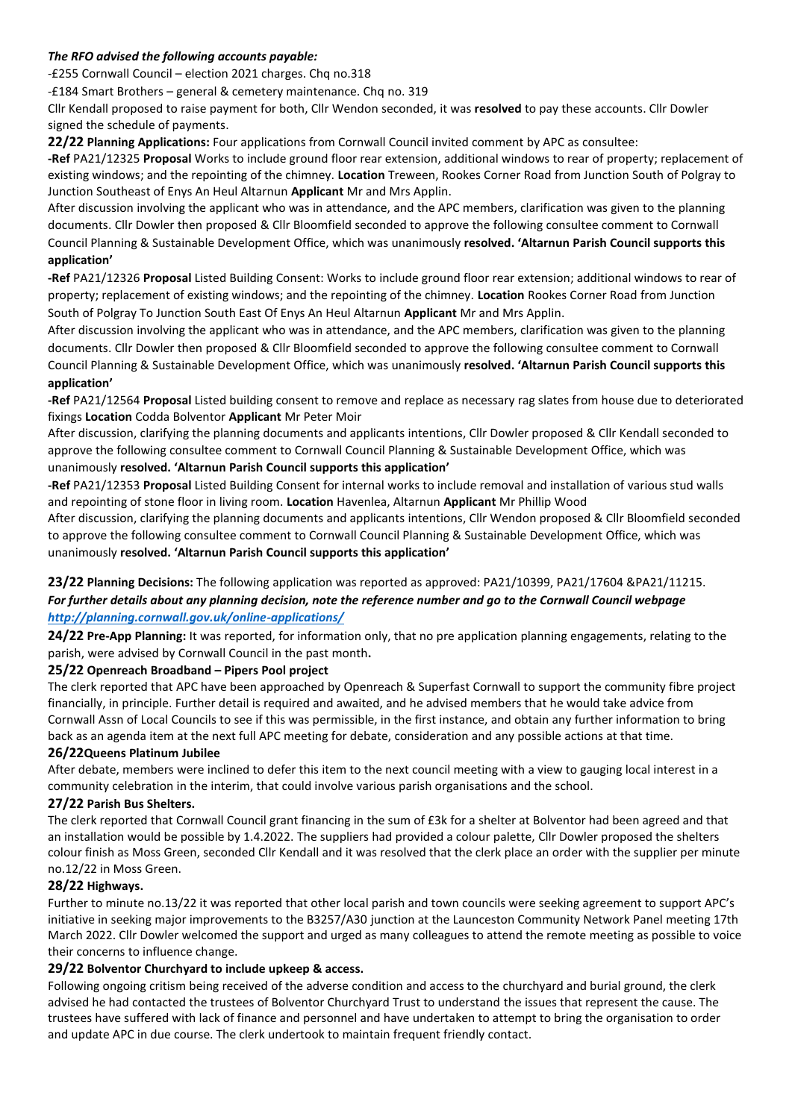## *The RFO advised the following accounts payable:*

-£255 Cornwall Council – election 2021 charges. Chq no.318

-£184 Smart Brothers – general & cemetery maintenance. Chq no. 319

Cllr Kendall proposed to raise payment for both, Cllr Wendon seconded, it was **resolved** to pay these accounts. Cllr Dowler signed the schedule of payments.

**22/22 Planning Applications:** Four applications from Cornwall Council invited comment by APC as consultee:

**-Ref** PA21/12325 **Proposal** Works to include ground floor rear extension, additional windows to rear of property; replacement of existing windows; and the repointing of the chimney. **Location** Treween, Rookes Corner Road from Junction South of Polgray to Junction Southeast of Enys An Heul Altarnun **Applicant** Mr and Mrs Applin.

After discussion involving the applicant who was in attendance, and the APC members, clarification was given to the planning documents. Cllr Dowler then proposed & Cllr Bloomfield seconded to approve the following consultee comment to Cornwall Council Planning & Sustainable Development Office, which was unanimously **resolved. 'Altarnun Parish Council supports this application'**

**-Ref** PA21/12326 **Proposal** Listed Building Consent: Works to include ground floor rear extension; additional windows to rear of property; replacement of existing windows; and the repointing of the chimney. **Location** Rookes Corner Road from Junction South of Polgray To Junction South East Of Enys An Heul Altarnun **Applicant** Mr and Mrs Applin.

After discussion involving the applicant who was in attendance, and the APC members, clarification was given to the planning documents. Cllr Dowler then proposed & Cllr Bloomfield seconded to approve the following consultee comment to Cornwall Council Planning & Sustainable Development Office, which was unanimously **resolved. 'Altarnun Parish Council supports this application'**

**-Ref** PA21/12564 **Proposal** Listed building consent to remove and replace as necessary rag slates from house due to deteriorated fixings **Location** Codda Bolventor **Applicant** Mr Peter Moir

After discussion, clarifying the planning documents and applicants intentions, Cllr Dowler proposed & Cllr Kendall seconded to approve the following consultee comment to Cornwall Council Planning & Sustainable Development Office, which was unanimously **resolved. 'Altarnun Parish Council supports this application'**

**-Ref** PA21/12353 **Proposal** Listed Building Consent for internal works to include removal and installation of various stud walls and repointing of stone floor in living room. **Location** Havenlea, Altarnun **Applicant** Mr Phillip Wood

After discussion, clarifying the planning documents and applicants intentions, Cllr Wendon proposed & Cllr Bloomfield seconded to approve the following consultee comment to Cornwall Council Planning & Sustainable Development Office, which was unanimously **resolved. 'Altarnun Parish Council supports this application'**

# **23/22 Planning Decisions:** The following application was reported as approved: PA21/10399, PA21/17604 &PA21/11215. For further details about any planning decision, note the reference number and go to the Cornwall Council webpage *<http://planning.cornwall.gov.uk/online-applications/>*

**24/22 Pre-App Planning:** It was reported, for information only, that no pre application planning engagements, relating to the parish, were advised by Cornwall Council in the past month**.**

# **25/22 Openreach Broadband – Pipers Pool project**

The clerk reported that APC have been approached by Openreach & Superfast Cornwall to support the community fibre project financially, in principle. Further detail is required and awaited, and he advised members that he would take advice from Cornwall Assn of Local Councils to see if this was permissible, in the first instance, and obtain any further information to bring back as an agenda item at the next full APC meeting for debate, consideration and any possible actions at that time.

# **26/22Queens Platinum Jubilee**

After debate, members were inclined to defer this item to the next council meeting with a view to gauging local interest in a community celebration in the interim, that could involve various parish organisations and the school.

# **27/22 Parish Bus Shelters.**

The clerk reported that Cornwall Council grant financing in the sum of £3k for a shelter at Bolventor had been agreed and that an installation would be possible by 1.4.2022. The suppliers had provided a colour palette, Cllr Dowler proposed the shelters colour finish as Moss Green, seconded Cllr Kendall and it was resolved that the clerk place an order with the supplier per minute no.12/22 in Moss Green.

#### **28/22 Highways.**

Further to minute no.13/22 it was reported that other local parish and town councils were seeking agreement to support APC's initiative in seeking major improvements to the B3257/A30 junction at the Launceston Community Network Panel meeting 17th March 2022. Cllr Dowler welcomed the support and urged as many colleagues to attend the remote meeting as possible to voice their concerns to influence change.

# **29/22 Bolventor Churchyard to include upkeep & access.**

Following ongoing critism being received of the adverse condition and access to the churchyard and burial ground, the clerk advised he had contacted the trustees of Bolventor Churchyard Trust to understand the issues that represent the cause. The trustees have suffered with lack of finance and personnel and have undertaken to attempt to bring the organisation to order and update APC in due course. The clerk undertook to maintain frequent friendly contact.